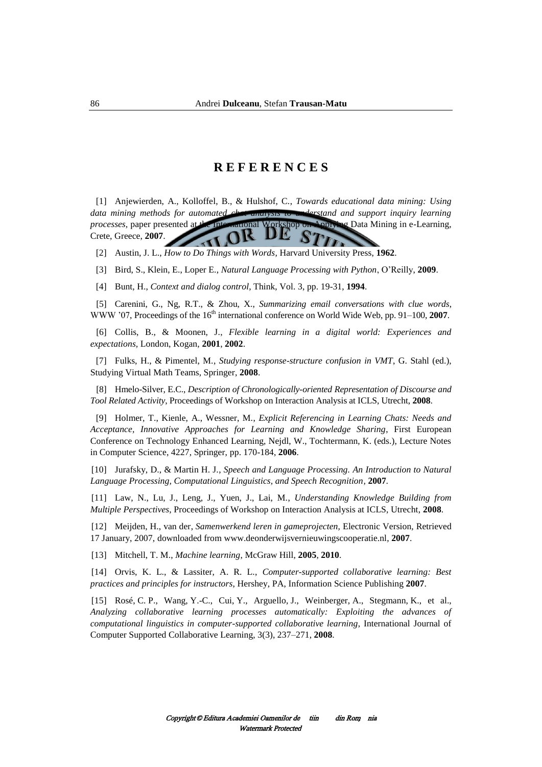## **R E F E R E N C E S**



[14] Orvis, K. L., & Lassiter, A. R. L., *Computer-supported collaborative learning: Best practices and principles for instructors*, Hershey, PA, Information Science Publishing **2007**.

[15] Rosé, C. P., Wang, Y.-C., Cui, Y., Arguello, J., Weinberger, A., Stegmann, K., et al., *Analyzing collaborative learning processes automatically: Exploiting the advances of computational linguistics in computer-supported collaborative learning*, International Journal of Computer Supported Collaborative Learning, 3(3), 237–271, **2008**.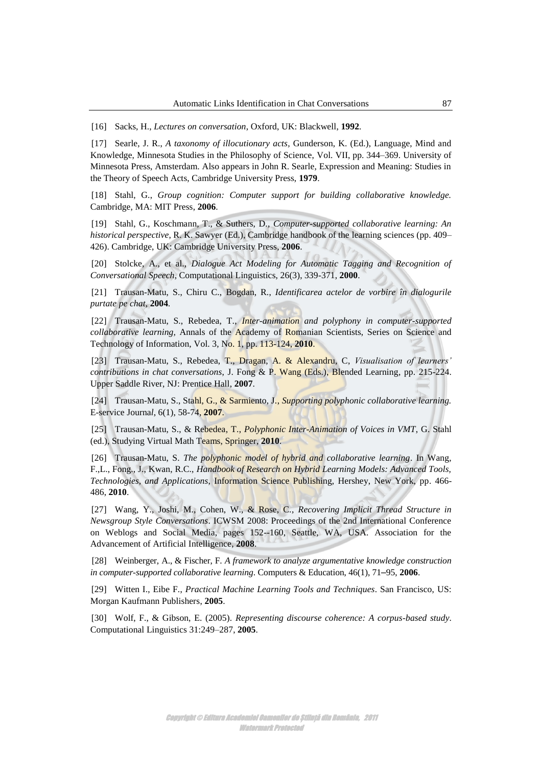[16] Sacks, H., *Lectures on conversation*, Oxford, UK: Blackwell, **1992**.

[17] Searle, J. R., *A taxonomy of illocutionary acts,* Gunderson, K. (Ed.), Language, Mind and Knowledge, Minnesota Studies in the Philosophy of Science, Vol. VII, pp. 344–369. University of Minnesota Press, Amsterdam. Also appears in John R. Searle, Expression and Meaning: Studies in the Theory of Speech Acts, Cambridge University Press, **1979**.

[18] Stahl, G., *Group cognition: Computer support for building collaborative knowledge.* Cambridge, MA: MIT Press, **2006**.

[19] Stahl, G., Koschmann, T., & Suthers, D., *Computer-supported collaborative learning: An historical perspective*, R. K. Sawyer (Ed.), Cambridge handbook of the learning sciences (pp. 409– 426). Cambridge, UK: Cambridge University Press, **2006**.

[20] Stolcke, A., et al., *Dialogue Act Modeling for Automatic Tagging and Recognition of Conversational Speech*, Computational Linguistics, 26(3), 339-371, **2000**.

[21] Trausan-Matu, S., Chiru C., Bogdan, R., *Identificarea actelor de vorbire în dialogurile purtate pe chat*, **2004***.*

[22] Trausan-Matu, S., Rebedea, T., *Inter-animation and polyphony in computer-supported collaborative learning,* Annals of the Academy of Romanian Scientists, Series on Science and Technology of Information, Vol. 3, No. 1, pp. 113-124, **2010**.

[23] Trausan-Matu, S., Rebedea, T., Dragan, A. & Alexandru, C, *Visualisation of learners' contributions in chat conversations*, J. Fong & P. Wang (Eds.), Blended Learning, pp. 215-224. Upper Saddle River, NJ: Prentice Hall, **2007**.

[24] Trausan-Matu, S., Stahl, G., & Sarmiento, J., *Supporting polyphonic collaborative learning.*  E-service Journa*l*, 6(1), 58-74, **2007**.

[25] Trausan-Matu, S., & Rebedea, T., *Polyphonic Inter-Animation of Voices in VMT*, G. Stahl (ed.), Studying Virtual Math Teams, Springer, **2010**.

[26] Trausan-Matu, S. *The polyphonic model of hybrid and collaborative learning*. In Wang, F.,L., Fong., J., Kwan, R.C., *Handbook of Research on Hybrid Learning Models: Advanced Tools, Technologies, and Applications*, Information Science Publishing, Hershey, New York, pp. 466- 486, **2010**.

[27] Wang, Y., Joshi, M., Cohen, W., & Rose, C., *Recovering Implicit Thread Structure in Newsgroup Style Conversations*. ICWSM 2008: Proceedings of the 2nd International Conference on Weblogs and Social Media, pages 152--160, Seattle, WA, USA. Association for the Advancement of Artificial Intelligence, **2008**.

[28] Weinberger, A., & Fischer, F. *A framework to analyze argumentative knowledge construction in computer-supported collaborative learning*. Computers & Education, 46(1), 71–95, **2006**.

[29] Witten I., Eibe F., *Practical Machine Learning Tools and Techniques*. San Francisco, US: Morgan Kaufmann Publishers, **2005**.

[30] Wolf, F., & Gibson, E. (2005). *Representing discourse coherence: A corpus-based study*. Computational Linguistics 31:249–287, **2005**.